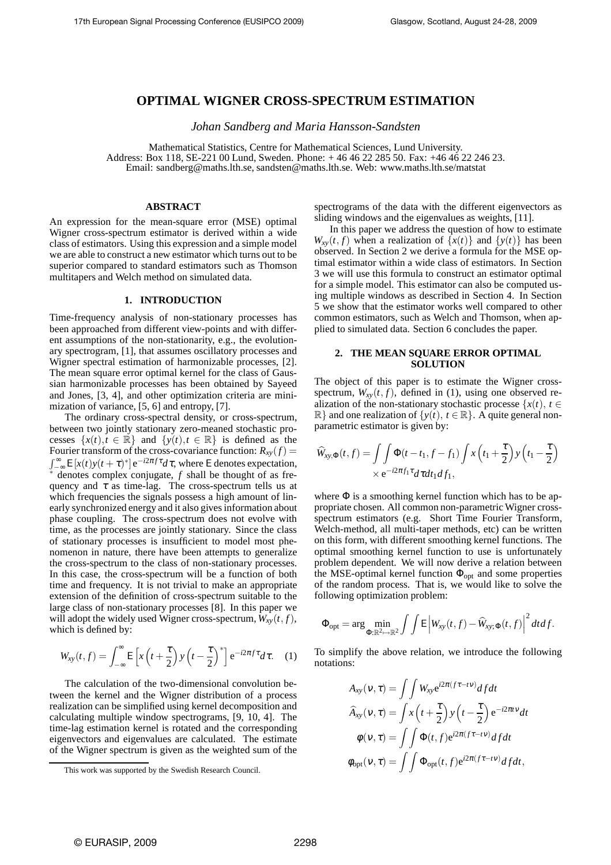# **OPTIMAL WIGNER CROSS-SPECTRUM ESTIMATION**

*Johan Sandberg and Maria Hansson-Sandsten*

Mathematical Statistics, Centre for Mathematical Sciences, Lund University. Address: Box 118, SE-221 00 Lund, Sweden. Phone: + 46 46 22 285 50. Fax: +46 46 22 246 23. Email: sandberg@maths.lth.se, sandsten@maths.lth.se. Web: www.maths.lth.se/matstat

# **ABSTRACT**

An expression for the mean-square error (MSE) optimal Wigner cross-spectrum estimator is derived within a wide class of estimators. Using this expression and a simple model we are able to construct a new estimator which turns out to be superior compared to standard estimators such as Thomson multitapers and Welch method on simulated data.

# **1. INTRODUCTION**

Time-frequency analysis of non-stationary processes has been approached from different view-points and with different assumptions of the non-stationarity, e.g., the evolutionary spectrogram, [1], that assumes oscillatory processes and Wigner spectral estimation of harmonizable processes, [2]. The mean square error optimal kernel for the class of Gaussian harmonizable processes has been obtained by Sayeed and Jones, [3, 4], and other optimization criteria are minimization of variance, [5, 6] and entropy, [7].

The ordinary cross-spectral density, or cross-spectrum, between two jointly stationary zero-meaned stochastic processes  $\{x(t), t \in \mathbb{R}\}\$  and  $\{y(t), t \in \mathbb{R}\}\$ is defined as the Fourier transform of the cross-covariance function:  $R_{xy}(f)$  =  $\int_{-\infty}^{\infty} E[x(t)y(t+\tau)^*] e^{-i2\pi f \tau} d\tau$ , where E denotes expectation, denotes complex conjugate, *f* shall be thought of as frequency and  $\tau$  as time-lag. The cross-spectrum tells us at which frequencies the signals possess a high amount of linearly synchronized energy and it also gives information about phase coupling. The cross-spectrum does not evolve with time, as the processes are jointly stationary. Since the class of stationary processes is insufficient to model most phenomenon in nature, there have been attempts to generalize the cross-spectrum to the class of non-stationary processes. In this case, the cross-spectrum will be a function of both time and frequency. It is not trivial to make an appropriate extension of the definition of cross-spectrum suitable to the large class of non-stationary processes [8]. In this paper we will adopt the widely used Wigner cross-spectrum,  $W_{xy}(t, f)$ , which is defined by:

$$
W_{xy}(t,f) = \int_{-\infty}^{\infty} \mathsf{E}\left[x\left(t + \frac{\tau}{2}\right)y\left(t - \frac{\tau}{2}\right)^*\right] e^{-i2\pi f \tau} d\tau. \quad (1)
$$

The calculation of the two-dimensional convolution between the kernel and the Wigner distribution of a process realization can be simplified using kernel decomposition and calculating multiple window spectrograms, [9, 10, 4]. The time-lag estimation kernel is rotated and the corresponding eigenvectors and eigenvalues are calculated. The estimate of the Wigner spectrum is given as the weighted sum of the

spectrograms of the data with the different eigenvectors as sliding windows and the eigenvalues as weights, [11].

In this paper we address the question of how to estimate  $W_{xy}(t, f)$  when a realization of  $\{x(t)\}\$  and  $\{y(t)\}\$  has been observed. In Section 2 we derive a formula for the MSE optimal estimator within a wide class of estimators. In Section 3 we will use this formula to construct an estimator optimal for a simple model. This estimator can also be computed using multiple windows as described in Section 4. In Section 5 we show that the estimator works well compared to other common estimators, such as Welch and Thomson, when applied to simulated data. Section 6 concludes the paper.

# **2. THE MEAN SQUARE ERROR OPTIMAL SOLUTION**

The object of this paper is to estimate the Wigner crossspectrum,  $W_{xy}(t, f)$ , defined in (1), using one observed realization of the non-stationary stochastic processe  $\{x(t), t \in$  $\mathbb{R}$  and one realization of  $\{y(t), t \in \mathbb{R}\}\$ . A quite general nonparametric estimator is given by:

$$
\widehat{W}_{xy,\Phi}(t,f) = \int \int \Phi(t-t_1,f-f_1) \int x\left(t_1 + \frac{\tau}{2}\right) y\left(t_1 - \frac{\tau}{2}\right)
$$

$$
\times e^{-i2\pi f_1 \tau} d\tau dt_1 df_1,
$$

where  $\Phi$  is a smoothing kernel function which has to be appropriate chosen. All common non-parametric Wigner crossspectrum estimators (e.g. Short Time Fourier Transform, Welch-method, all multi-taper methods, etc) can be written on this form, with different smoothing kernel functions. The optimal smoothing kernel function to use is unfortunately problem dependent. We will now derive a relation between the MSE-optimal kernel function  $\Phi_{opt}$  and some properties of the random process. That is, we would like to solve the following optimization problem:

$$
\Phi_{\text{opt}} = \arg \min_{\Phi: \mathbb{R}^2 \mapsto \mathbb{R}^2} \int \int E \left| W_{\text{xy}}(t, f) - \widehat{W}_{\text{xy};\Phi}(t, f) \right|^2 dt df.
$$

To simplify the above relation, we introduce the following notations:

$$
A_{xy}(v,\tau) = \int \int W_{xy} e^{i2\pi(f\tau - tv)} df dt
$$
  

$$
\widehat{A}_{xy}(v,\tau) = \int x \left(t + \frac{\tau}{2}\right) y \left(t - \frac{\tau}{2}\right) e^{-i2\pi tv} dt
$$
  

$$
\phi(v,\tau) = \int \int \Phi(t,f) e^{i2\pi(f\tau - tv)} df dt
$$
  

$$
\phi_{opt}(v,\tau) = \int \int \Phi_{opt}(t,f) e^{i2\pi(f\tau - tv)} df dt,
$$

This work was supported by the Swedish Research Council.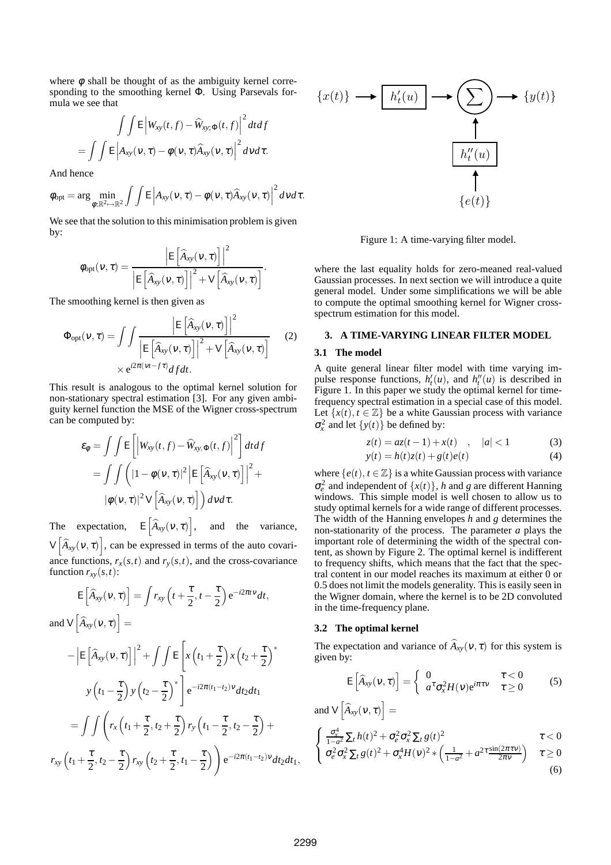where  $\phi$  shall be thought of as the ambiguity kernel corresponding to the smoothing kernel Φ. Using Parsevals formula we see that

$$
\int \int \mathsf{E} \left| W_{\mathsf{xy}}(t,f) - \widehat{W}_{\mathsf{xy},\Phi}(t,f) \right|^2 dt df
$$

$$
= \int \int \mathsf{E} \left| A_{\mathsf{xy}}(\mathsf{v},\tau) - \phi(\mathsf{v},\tau) \widehat{A}_{\mathsf{xy}}(\mathsf{v},\tau) \right|^2 d\mathsf{v} d\tau.
$$

And hence

$$
\phi_{\text{opt}} = \arg \min_{\phi: \mathbb{R}^2 \mapsto \mathbb{R}^2} \int \int E \left| A_{xy}(\nu, \tau) - \phi(\nu, \tau) \widehat{A}_{xy}(\nu, \tau) \right|^2 d\nu d\tau.
$$

We see that the solution to this minimisation problem is given by:

$$
\phi_{\text{opt}}(v,\tau) = \frac{\left| \mathsf{E}\left[\widehat{A}_{xy}(v,\tau)\right] \right|^2}{\left| \mathsf{E}\left[\widehat{A}_{xy}(v,\tau)\right] \right|^2 + \mathsf{V}\left[\widehat{A}_{xy}(v,\tau)\right]}.
$$

The smoothing kernel is then given as

$$
\Phi_{\text{opt}}(\nu,\tau) = \int \int \frac{\left| \mathsf{E}\left[\widehat{A}_{xy}(\nu,\tau)\right] \right|^2}{\left| \mathsf{E}\left[\widehat{A}_{xy}(\nu,\tau)\right] \right|^2 + \mathsf{V}\left[\widehat{A}_{xy}(\nu,\tau)\right]} \qquad (2)
$$

$$
\times e^{i2\pi(\nu t - f\tau)} df dt.
$$

This result is analogous to the optimal kernel solution for non-stationary spectral estimation [3]. For any given ambiguity kernel function the MSE of the Wigner cross-spectrum can be computed by:

$$
\varepsilon_{\phi} = \iint \mathbb{E} \left[ \left| W_{xy}(t,f) - \widehat{W}_{xy,\Phi}(t,f) \right|^2 \right] dt df
$$
  
= 
$$
\iint \left( |1 - \phi(v,\tau)|^2 \left| \mathbb{E} \left[ \widehat{A}_{xy}(v,\tau) \right] \right|^2 \right) +
$$
  

$$
|\phi(v,\tau)|^2 \sqrt{\left[ \widehat{A}_{xy}(v,\tau) \right]} dv d\tau.
$$

The expectation,  $E\left[\widehat{A}_{xy}(v,\tau)\right]$ , and the variance,  $V\left[\widehat{A}_{xy}(v,\tau)\right]$ , can be expressed in terms of the auto covariance functions,  $r_x(s,t)$  and  $r_y(s,t)$ , and the cross-covariance function  $r_{xy}(s,t)$ :

$$
E\left[\widehat{A}_{xy}(v,\tau)\right] = \int r_{xy}\left(t + \frac{\tau}{2}, t - \frac{\tau}{2}\right)e^{-i2\pi tv}dt,
$$
  
\nand  $V\left[\widehat{A}_{xy}(v,\tau)\right] =$   
\n
$$
-\left|E\left[\widehat{A}_{xy}(v,\tau)\right]\right|^2 + \int\int E\left[x\left(t_1 + \frac{\tau}{2}\right)x\left(t_2 + \frac{\tau}{2}\right)^*\right]
$$
  
\n
$$
y\left(t_1 - \frac{\tau}{2}\right)y\left(t_2 - \frac{\tau}{2}\right)^*\right]e^{-i2\pi(t_1 - t_2)v}dt_2dt_1
$$
  
\n
$$
= \int\int \left(r_x\left(t_1 + \frac{\tau}{2}, t_2 + \frac{\tau}{2}\right)r_y\left(t_1 - \frac{\tau}{2}, t_2 - \frac{\tau}{2}\right) + r_{xy}\left(t_1 + \frac{\tau}{2}, t_2 - \frac{\tau}{2}\right)r_{xy}\left(t_2 + \frac{\tau}{2}, t_1 - \frac{\tau}{2}\right)\right)e^{-i2\pi(t_1 - t_2)v}dt_2dt_1,
$$



Figure 1: A time-varying filter model.

where the last equality holds for zero-meaned real-valued Gaussian processes. In next section we will introduce a quite general model. Under some simplifications we will be able to compute the optimal smoothing kernel for Wigner crossspectrum estimation for this model.

#### **3. A TIME-VARYING LINEAR FILTER MODEL**

# **3.1 The model**

A quite general linear filter model with time varying impulse response functions,  $h'_t(u)$ , and  $h''_t(u)$  is described in Figure 1. In this paper we study the optimal kernel for timefrequency spectral estimation in a special case of this model. Let  $\{x(t), t \in \mathbb{Z}\}\)$  be a white Gaussian process with variance  $\sigma_x^2$  and let  $\{y(t)\}\$  be defined by:

$$
z(t) = az(t-1) + x(t) \quad , \quad |a| < 1 \tag{3}
$$

$$
y(t) = h(t)z(t) + g(t)e(t)
$$
\n<sup>(4)</sup>

where  $\{e(t), t \in \mathbb{Z}\}\$ is a white Gaussian process with variance  $\sigma_e^2$  and independent of  $\{x(t)\}\$ , *h* and *g* are different Hanning windows. This simple model is well chosen to allow us to study optimal kernels for a wide range of different processes. The width of the Hanning envelopes *h* and *g* determines the non-stationarity of the process. The parameter *a* plays the important role of determining the width of the spectral content, as shown by Figure 2. The optimal kernel is indifferent to frequency shifts, which means that the fact that the spectral content in our model reaches its maximum at either 0 or 0.5 does not limit the models generality. This is easily seen in the Wigner domain, where the kernel is to be 2D convoluted in the time-frequency plane.

#### **3.2 The optimal kernel**

The expectation and variance of  $\widehat{A}_{xy}(v, \tau)$  for this system is given by:

$$
\mathsf{E}\left[\widehat{A}_{xy}(\nu,\tau)\right] = \left\{\begin{array}{ll} 0 & \tau < 0 \\ a^{\tau}\sigma_x^2 H(\nu) e^{i\pi\tau\nu} & \tau \ge 0 \end{array}\right. \tag{5}
$$

and  $V\left[\widehat{A}_{xy}(v,\tau)\right] =$  $\sqrt{ }$ σ 4

$$
\begin{cases} \frac{\sigma_x^2}{1-a^2} \sum_t h(t)^2 + \sigma_e^2 \sigma_x^2 \sum_t g(t)^2 & \tau < 0\\ \sigma_e^2 \sigma_x^2 \sum_t g(t)^2 + \sigma_x^4 H(\nu)^2 \times \left(\frac{1}{1-a^2} + a^2 \tau \frac{\sin(2\pi \tau \nu)}{2\pi \nu}\right) & \tau \ge 0 \end{cases}
$$

$$
\left( \sigma_e^2 \sigma_x^2 \sum_t g(t)^2 + \sigma_x^4 H(v)^2 \ast \left( \frac{1}{1 - a^2} + a^{2\tau} \frac{\sin(2\pi v v)}{2\pi v} \right) \right) \quad \tau \ge 0
$$
\n(6)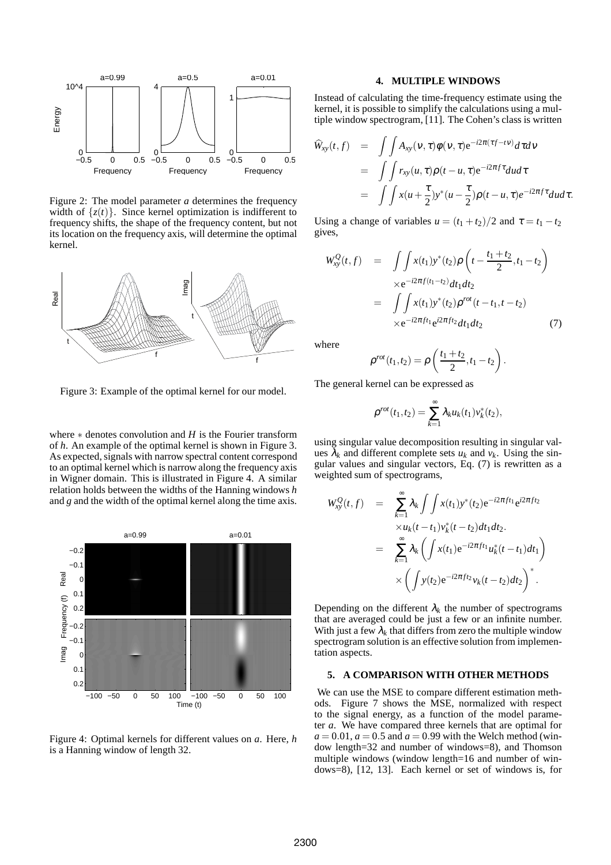

Figure 2: The model parameter *a* determines the frequency width of  $\{z(t)\}\)$ . Since kernel optimization is indifferent to frequency shifts, the shape of the frequency content, but not its location on the frequency axis, will determine the optimal kernel.



Figure 3: Example of the optimal kernel for our model.

where ∗ denotes convolution and *H* is the Fourier transform of *h*. An example of the optimal kernel is shown in Figure 3. As expected, signals with narrow spectral content correspond to an optimal kernel which is narrow along the frequency axis in Wigner domain. This is illustrated in Figure 4. A similar relation holds between the widths of the Hanning windows *h* and *g* and the width of the optimal kernel along the time axis.



Figure 4: Optimal kernels for different values on *a*. Here, *h* is a Hanning window of length 32.

#### **4. MULTIPLE WINDOWS**

Instead of calculating the time-frequency estimate using the kernel, it is possible to simplify the calculations using a multiple window spectrogram, [11]. The Cohen's class is written

$$
\hat{W}_{xy}(t,f) = \int \int A_{xy}(v,\tau)\phi(v,\tau)e^{-i2\pi(\tau f - tv)}d\tau dv
$$
  
\n
$$
= \int \int r_{xy}(u,\tau)\rho(t-u,\tau)e^{-i2\pi f\tau}dud\tau
$$
  
\n
$$
= \int \int x(u+\frac{\tau}{2})y^*(u-\frac{\tau}{2})\rho(t-u,\tau)e^{-i2\pi f\tau}dud\tau.
$$

Using a change of variables  $u = (t_1 + t_2)/2$  and  $\tau = t_1 - t_2$ gives,

$$
W_{xy}^Q(t,f) = \int \int x(t_1) y^*(t_2) \rho \left( t - \frac{t_1 + t_2}{2}, t_1 - t_2 \right)
$$
  
\n
$$
\times e^{-i2\pi f(t_1 - t_2)} dt_1 dt_2
$$
  
\n
$$
= \int \int x(t_1) y^*(t_2) \rho^{rot} (t - t_1, t - t_2)
$$
  
\n
$$
\times e^{-i2\pi f t_1} e^{i2\pi f t_2} dt_1 dt_2
$$
\n(7)

where

$$
\rho^{rot}(t_1, t_2) = \rho\left(\frac{t_1 + t_2}{2}, t_1 - t_2\right)
$$

.

The general kernel can be expressed as

$$
\rho^{rot}(t_1, t_2) = \sum_{k=1}^{\infty} \lambda_k u_k(t_1) v_k^*(t_2),
$$

using singular value decomposition resulting in singular values  $\lambda_k$  and different complete sets  $u_k$  and  $v_k$ . Using the singular values and singular vectors, Eq. (7) is rewritten as a weighted sum of spectrograms,

$$
W_{xy}^Q(t,f) = \sum_{k=1}^{\infty} \lambda_k \int \int x(t_1) y^*(t_2) e^{-i2\pi f t_1} e^{i2\pi f t_2}
$$
  
\n
$$
\times u_k(t-t_1) v_k^*(t-t_2) dt_1 dt_2.
$$
  
\n
$$
= \sum_{k=1}^{\infty} \lambda_k \left( \int x(t_1) e^{-i2\pi f t_1} u_k^*(t-t_1) dt_1 \right)
$$
  
\n
$$
\times \left( \int y(t_2) e^{-i2\pi f t_2} v_k(t-t_2) dt_2 \right)^*.
$$

Depending on the different  $\lambda_k$  the number of spectrograms that are averaged could be just a few or an infinite number. With just a few  $\lambda_k$  that differs from zero the multiple window spectrogram solution is an effective solution from implementation aspects.

#### **5. A COMPARISON WITH OTHER METHODS**

We can use the MSE to compare different estimation methods. Figure 7 shows the MSE, normalized with respect to the signal energy, as a function of the model parameter *a*. We have compared three kernels that are optimal for  $a = 0.01$ ,  $a = 0.5$  and  $a = 0.99$  with the Welch method (window length=32 and number of windows=8), and Thomson multiple windows (window length=16 and number of windows=8), [12, 13]. Each kernel or set of windows is, for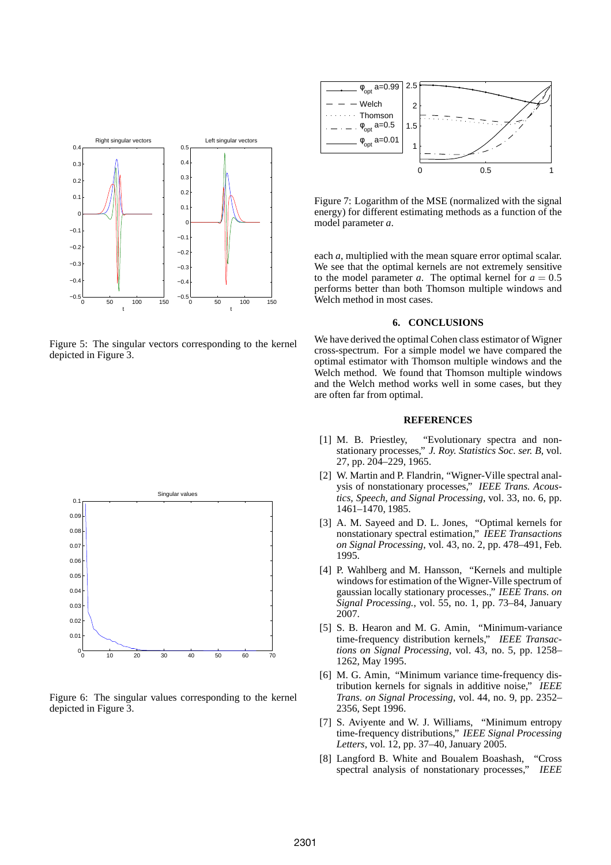

Figure 5: The singular vectors corresponding to the kernel depicted in Figure 3.



Figure 6: The singular values corresponding to the kernel depicted in Figure 3.



Figure 7: Logarithm of the MSE (normalized with the signal energy) for different estimating methods as a function of the model parameter *a*.

each *a*, multiplied with the mean square error optimal scalar. We see that the optimal kernels are not extremely sensitive to the model parameter *a*. The optimal kernel for  $a = 0.5$ performs better than both Thomson multiple windows and Welch method in most cases.

# **6. CONCLUSIONS**

We have derived the optimal Cohen class estimator of Wigner cross-spectrum. For a simple model we have compared the optimal estimator with Thomson multiple windows and the Welch method. We found that Thomson multiple windows and the Welch method works well in some cases, but they are often far from optimal.

# **REFERENCES**

- [1] M. B. Priestley, "Evolutionary spectra and nonstationary processes," *J. Roy. Statistics Soc. ser. B*, vol. 27, pp. 204–229, 1965.
- [2] W. Martin and P. Flandrin, "Wigner-Ville spectral analysis of nonstationary processes," *IEEE Trans. Acoustics, Speech, and Signal Processing*, vol. 33, no. 6, pp. 1461–1470, 1985.
- [3] A. M. Sayeed and D. L. Jones, "Optimal kernels for nonstationary spectral estimation," *IEEE Transactions on Signal Processing*, vol. 43, no. 2, pp. 478–491, Feb. 1995.
- [4] P. Wahlberg and M. Hansson, "Kernels and multiple windows for estimation of the Wigner-Ville spectrum of gaussian locally stationary processes.," *IEEE Trans. on Signal Processing.*, vol. 55, no. 1, pp. 73–84, January 2007.
- [5] S. B. Hearon and M. G. Amin, "Minimum-variance time-frequency distribution kernels," *IEEE Transactions on Signal Processing*, vol. 43, no. 5, pp. 1258– 1262, May 1995.
- [6] M. G. Amin, "Minimum variance time-frequency distribution kernels for signals in additive noise," *IEEE Trans. on Signal Processing*, vol. 44, no. 9, pp. 2352– 2356, Sept 1996.
- [7] S. Aviyente and W. J. Williams, "Minimum entropy time-frequency distributions," *IEEE Signal Processing Letters*, vol. 12, pp. 37–40, January 2005.
- [8] Langford B. White and Boualem Boashash, "Cross spectral analysis of nonstationary processes," *IEEE*